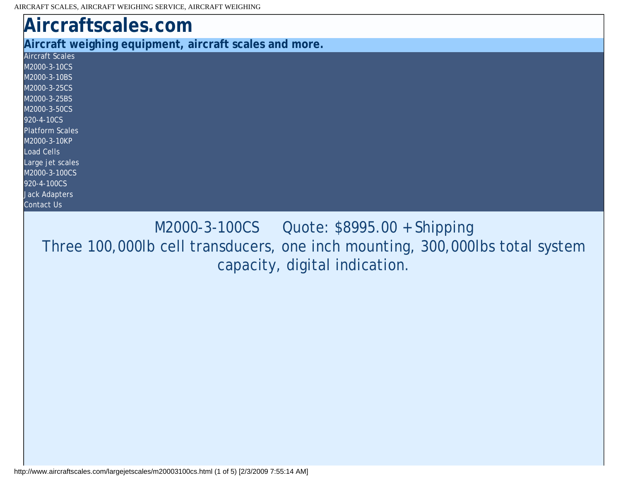<span id="page-0-0"></span>

| Aircraftscales.com                                     |
|--------------------------------------------------------|
| Aircraft weighing equipment, aircraft scales and more. |
| <b>Aircraft Scales</b>                                 |
| M2000-3-10CS                                           |
| M2000-3-10BS                                           |
| M2000-3-25CS                                           |
| M2000-3-25BS                                           |
| M2000-3-50CS                                           |
| 920-4-10CS                                             |
| <b>Platform Scales</b>                                 |
| M2000-3-10KP                                           |
| <b>Load Cells</b>                                      |
| Large jet scales                                       |
| M2000-3-100CS                                          |
| 920-4-100CS                                            |
| <b>Jack Adapters</b>                                   |
| <b>Contact Us</b>                                      |
|                                                        |

M2000-3-100CS Quote: \$8995.00 + Shipping Three 100,000lb cell transducers, one inch mounting, 300,000lbs total system capacity, digital indication.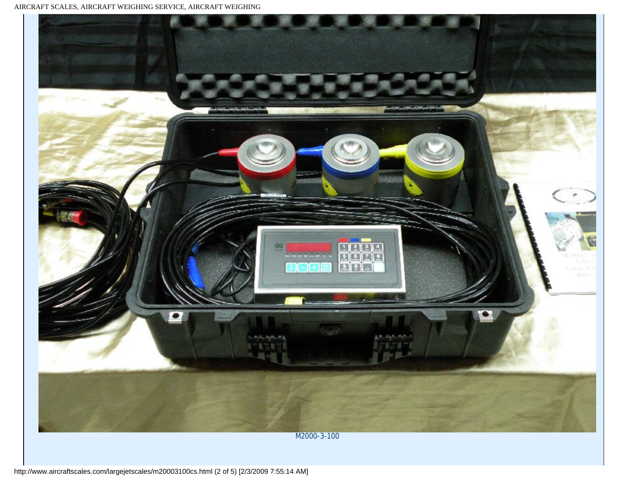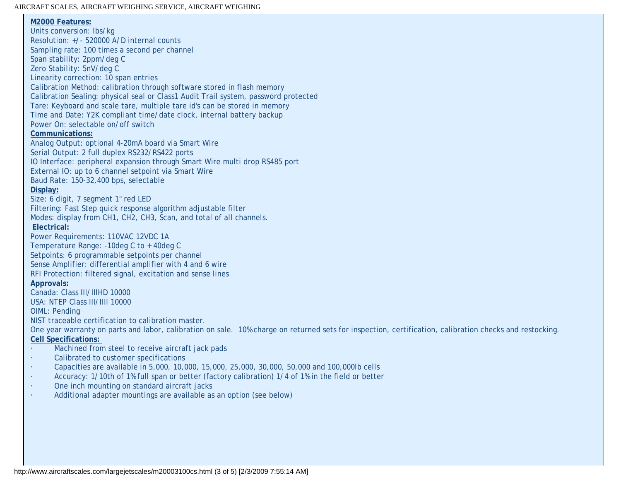## AIRCRAFT SCALES, AIRCRAFT WEIGHING SERVICE, AIRCRAFT WEIGHING

**M2000 Features:** Units conversion: lbs/kg Resolution: +/- 520000 A/D internal counts Sampling rate: 100 times a second per channel Span stability: 2ppm/deg C Zero Stability: 5nV/deg C Linearity correction: 10 span entries Calibration Method: calibration through software stored in flash memory Calibration Sealing: physical seal or Class1 Audit Trail system, password protected Tare: Keyboard and scale tare, multiple tare id's can be stored in memory Time and Date: Y2K compliant time/date clock, internal battery backup Power On: selectable on/off switch **Communications:** Analog Output: optional 4-20mA board via Smart Wire Serial Output: 2 full duplex RS232/RS422 ports IO Interface: peripheral expansion through Smart Wire multi drop RS485 port External IO: up to 6 channel setpoint via Smart Wire Baud Rate: 150-32,400 bps, selectable **Display:** Size: 6 digit, 7 segment 1" red LED Filtering: Fast Step quick response algorithm adjustable filter Modes: display from CH1, CH2, CH3, Scan, and total of all channels. **Electrical:** Power Requirements: 110VAC 12VDC 1A Temperature Range: -10deg C to + 40deg C Setpoints: 6 programmable setpoints per channel Sense Amplifier: differential amplifier with 4 and 6 wire RFI Protection: filtered signal, excitation and sense lines **Approvals:** Canada: Class III/IIIHD 10000 USA: NTEP Class III/IIIl 10000 OIML: Pending NIST traceable certification to calibration master. One year warranty on parts and labor, calibration on sale. 10% charge on returned sets for inspection, certification, calibration checks and restocking. **Cell Specifications:**  · Machined from steel to receive aircraft jack pads · Calibrated to customer specifications · Capacities are available in 5,000, 10,000, 15,000, 25,000, 30,000, 50,000 and 100,000lb cells · Accuracy: 1/10th of 1% full span or better (factory calibration) 1/4 of 1% in the field or better · One inch mounting on standard aircraft jacks · Additional adapter mountings are available as an option (see below)

http://www.aircraftscales.com/largejetscales/m20003100cs.html (3 of 5) [2/3/2009 7:55:14 AM]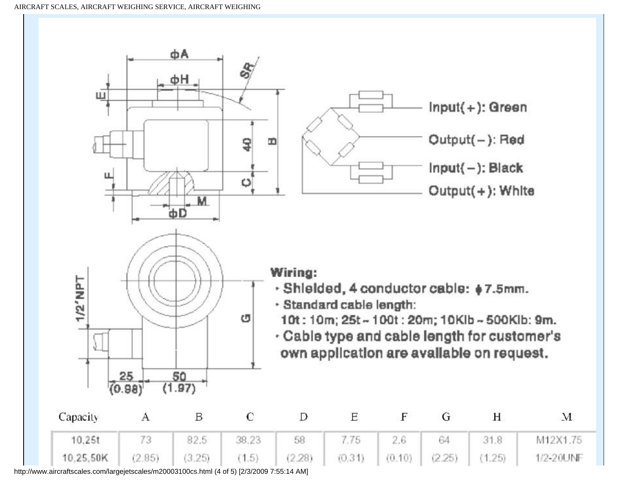

http://www.aircraftscales.com/largejetscales/m20003100cs.html (4 of 5) [2/3/2009 7:55:14 AM]